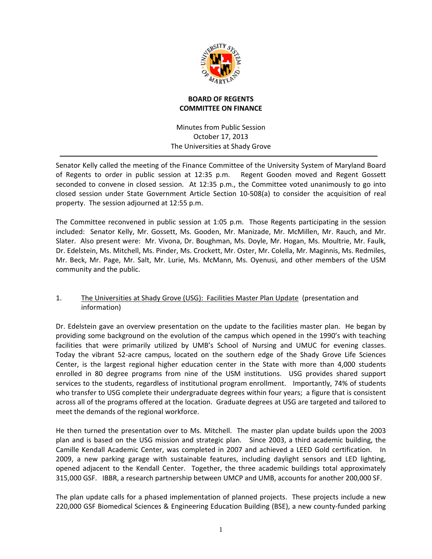

## **BOARD OF REGENTS COMMITTEE ON FINANCE**

Minutes from Public Session October 17, 2013 The Universities at Shady Grove

Senator Kelly called the meeting of the Finance Committee of the University System of Maryland Board of Regents to order in public session at 12:35 p.m. Regent Gooden moved and Regent Gossett seconded to convene in closed session. At 12:35 p.m., the Committee voted unanimously to go into closed session under State Government Article Section 10‐508(a) to consider the acquisition of real property. The session adjourned at 12:55 p.m.

The Committee reconvened in public session at 1:05 p.m. Those Regents participating in the session included: Senator Kelly, Mr. Gossett, Ms. Gooden, Mr. Manizade, Mr. McMillen, Mr. Rauch, and Mr. Slater. Also present were: Mr. Vivona, Dr. Boughman, Ms. Doyle, Mr. Hogan, Ms. Moultrie, Mr. Faulk, Dr. Edelstein, Ms. Mitchell, Ms. Pinder, Ms. Crockett, Mr. Oster, Mr. Colella, Mr. Maginnis, Ms. Redmiles, Mr. Beck, Mr. Page, Mr. Salt, Mr. Lurie, Ms. McMann, Ms. Oyenusi, and other members of the USM community and the public.

# 1. The Universities at Shady Grove (USG): Facilities Master Plan Update (presentation and information)

Dr. Edelstein gave an overview presentation on the update to the facilities master plan. He began by providing some background on the evolution of the campus which opened in the 1990's with teaching facilities that were primarily utilized by UMB's School of Nursing and UMUC for evening classes. Today the vibrant 52‐acre campus, located on the southern edge of the Shady Grove Life Sciences Center, is the largest regional higher education center in the State with more than 4,000 students enrolled in 80 degree programs from nine of the USM institutions. USG provides shared support services to the students, regardless of institutional program enrollment. Importantly, 74% of students who transfer to USG complete their undergraduate degrees within four years; a figure that is consistent across all of the programs offered at the location. Graduate degrees at USG are targeted and tailored to meet the demands of the regional workforce.

He then turned the presentation over to Ms. Mitchell. The master plan update builds upon the 2003 plan and is based on the USG mission and strategic plan. Since 2003, a third academic building, the Camille Kendall Academic Center, was completed in 2007 and achieved a LEED Gold certification. In 2009, a new parking garage with sustainable features, including daylight sensors and LED lighting, opened adjacent to the Kendall Center. Together, the three academic buildings total approximately 315,000 GSF. IBBR, a research partnership between UMCP and UMB, accounts for another 200,000 SF.

The plan update calls for a phased implementation of planned projects. These projects include a new 220,000 GSF Biomedical Sciences & Engineering Education Building (BSE), a new county-funded parking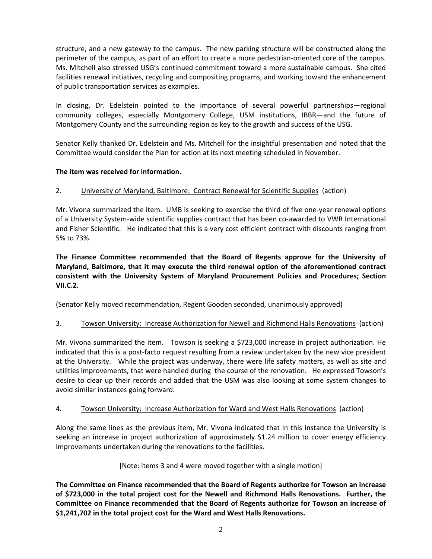structure, and a new gateway to the campus. The new parking structure will be constructed along the perimeter of the campus, as part of an effort to create a more pedestrian-oriented core of the campus. Ms. Mitchell also stressed USG's continued commitment toward a more sustainable campus. She cited facilities renewal initiatives, recycling and compositing programs, and working toward the enhancement of public transportation services as examples.

In closing, Dr. Edelstein pointed to the importance of several powerful partnerships—regional community colleges, especially Montgomery College, USM institutions, IBBR—and the future of Montgomery County and the surrounding region as key to the growth and success of the USG.

Senator Kelly thanked Dr. Edelstein and Ms. Mitchell for the insightful presentation and noted that the Committee would consider the Plan for action at its next meeting scheduled in November.

## **The item was received for information.**

## 2. University of Maryland, Baltimore: Contract Renewal for Scientific Supplies (action)

Mr. Vivona summarized the item. UMB is seeking to exercise the third of five one‐year renewal options of a University System‐wide scientific supplies contract that has been co‐awarded to VWR International and Fisher Scientific. He indicated that this is a very cost efficient contract with discounts ranging from 5% to 73%.

**The Finance Committee recommended that the Board of Regents approve for the University of Maryland, Baltimore, that it may execute the third renewal option of the aforementioned contract consistent with the University System of Maryland Procurement Policies and Procedures; Section VII.C.2.**

(Senator Kelly moved recommendation, Regent Gooden seconded, unanimously approved)

#### 3. Towson University: Increase Authorization for Newell and Richmond Halls Renovations (action)

Mr. Vivona summarized the item. Towson is seeking a \$723,000 increase in project authorization. He indicated that this is a post‐facto request resulting from a review undertaken by the new vice president at the University. While the project was underway, there were life safety matters, as well as site and utilities improvements, that were handled during the course of the renovation. He expressed Towson's desire to clear up their records and added that the USM was also looking at some system changes to avoid similar instances going forward.

#### 4. Towson University: Increase Authorization for Ward and West Halls Renovations (action)

Along the same lines as the previous item, Mr. Vivona indicated that in this instance the University is seeking an increase in project authorization of approximately \$1.24 million to cover energy efficiency improvements undertaken during the renovations to the facilities.

#### [Note: items 3 and 4 were moved together with a single motion]

**The Committee on Finance recommended that the Board of Regents authorize for Towson an increase of \$723,000 in the total project cost for the Newell and Richmond Halls Renovations. Further, the Committee on Finance recommended that the Board of Regents authorize for Towson an increase of \$1,241,702 in the total project cost for the Ward and West Halls Renovations.**